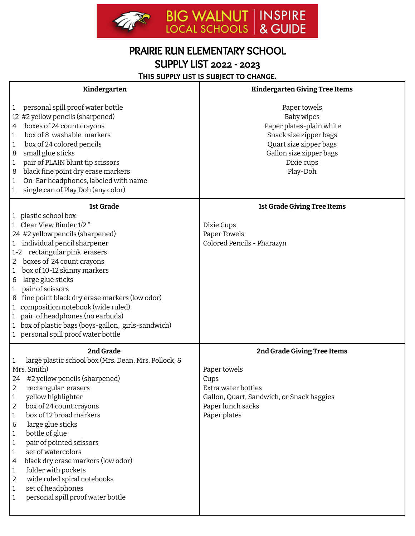

## PRAIRIE RUN ELEMENTARY SCHOOL SUPPLY LIST 2022 - 2023

THIS SUPPLY LIST IS SUBJECT TO CHANGE.

| Kindergarten                                                                                                                                                                                                                                                                                                                                                                                                                                                                                                                                                                                            | <b>Kindergarten Giving Tree Items</b>                                                                                                                           |
|---------------------------------------------------------------------------------------------------------------------------------------------------------------------------------------------------------------------------------------------------------------------------------------------------------------------------------------------------------------------------------------------------------------------------------------------------------------------------------------------------------------------------------------------------------------------------------------------------------|-----------------------------------------------------------------------------------------------------------------------------------------------------------------|
| personal spill proof water bottle<br>1<br>12 #2 yellow pencils (sharpened)<br>boxes of 24 count crayons<br>4<br>box of 8 washable markers<br>1<br>box of 24 colored pencils<br>1<br>small glue sticks<br>8<br>pair of PLAIN blunt tip scissors<br>1<br>black fine point dry erase markers<br>8<br>On-Ear headphones, labeled with name<br>1<br>single can of Play Doh (any color)<br>1                                                                                                                                                                                                                  | Paper towels<br>Baby wipes<br>Paper plates-plain white<br>Snack size zipper bags<br>Quart size zipper bags<br>Gallon size zipper bags<br>Dixie cups<br>Play-Doh |
| 1st Grade<br>1 plastic school box-<br>Clear View Binder 1/2 "<br>$\mathbf{1}$                                                                                                                                                                                                                                                                                                                                                                                                                                                                                                                           | 1st Grade Giving Tree Items<br>Dixie Cups                                                                                                                       |
| 24 #2 yellow pencils (sharpened)<br>1 individual pencil sharpener<br>1-2 rectangular pink erasers<br>boxes of 24 count crayons<br>$2^{\circ}$<br>box of 10-12 skinny markers<br>1<br>large glue sticks<br>6<br>pair of scissors<br>1<br>fine point black dry erase markers (low odor)<br>8<br>composition notebook (wide ruled)<br>$\mathbf{1}$<br>pair of headphones (no earbuds)<br>$\mathbf{1}$<br>box of plastic bags (boys-gallon, girls-sandwich)<br>1<br>1 personal spill proof water bottle                                                                                                     | Paper Towels<br>Colored Pencils - Pharazyn                                                                                                                      |
| 2nd Grade<br>large plastic school box (Mrs. Dean, Mrs, Pollock, &<br>1<br>Mrs. Smith)<br>24 #2 yellow pencils (sharpened)<br>$\overline{2}$<br>rectangular erasers<br>yellow highlighter<br>$\mathbf{1}$<br>box of 24 count crayons<br>$\overline{2}$<br>box of 12 broad markers<br>1<br>large glue sticks<br>6<br>bottle of glue<br>1<br>pair of pointed scissors<br>$\mathbf{1}$<br>set of watercolors<br>1<br>black dry erase markers (low odor)<br>4<br>folder with pockets<br>$\mathbf{1}$<br>wide ruled spiral notebooks<br>2<br>set of headphones<br>1<br>personal spill proof water bottle<br>1 | 2nd Grade Giving Tree Items<br>Paper towels<br>Cups<br>Extra water bottles<br>Gallon, Quart, Sandwich, or Snack baggies<br>Paper lunch sacks<br>Paper plates    |